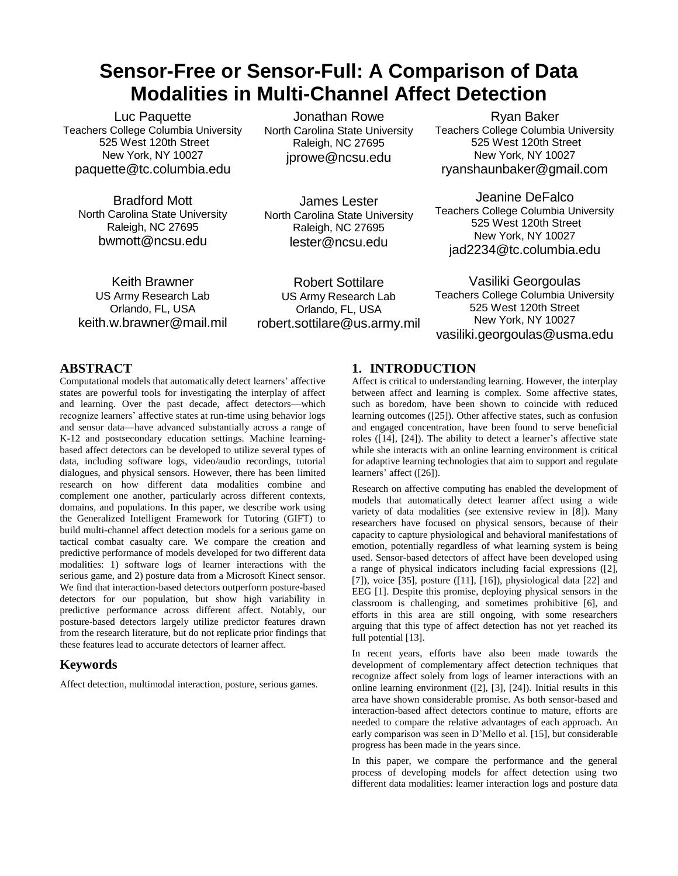# **Sensor-Free or Sensor-Full: A Comparison of Data Modalities in Multi-Channel Affect Detection**

Luc Paquette Teachers College Columbia University 525 West 120th Street New York, NY 10027 paquette@tc.columbia.edu

Bradford Mott North Carolina State University Raleigh, NC 27695 bwmott@ncsu.edu

Keith Brawner US Army Research Lab Orlando, FL, USA keith.w.brawner@mail.mil

Jonathan Rowe North Carolina State University Raleigh, NC 27695 jprowe@ncsu.edu

James Lester North Carolina State University Raleigh, NC 27695 lester@ncsu.edu

Robert Sottilare US Army Research Lab Orlando, FL, USA robert.sottilare@us.army.mil

Ryan Baker Teachers College Columbia University 525 West 120th Street New York, NY 10027 ryanshaunbaker@gmail.com

Jeanine DeFalco Teachers College Columbia University 525 West 120th Street New York, NY 10027 jad2234@tc.columbia.edu

Vasiliki Georgoulas Teachers College Columbia University 525 West 120th Street New York, NY 10027 vasiliki.georgoulas@usma.edu

## **ABSTRACT**

Computational models that automatically detect learners' affective states are powerful tools for investigating the interplay of affect and learning. Over the past decade, affect detectors—which recognize learners' affective states at run-time using behavior logs and sensor data—have advanced substantially across a range of K-12 and postsecondary education settings. Machine learningbased affect detectors can be developed to utilize several types of data, including software logs, video/audio recordings, tutorial dialogues, and physical sensors. However, there has been limited research on how different data modalities combine and complement one another, particularly across different contexts, domains, and populations. In this paper, we describe work using the Generalized Intelligent Framework for Tutoring (GIFT) to build multi-channel affect detection models for a serious game on tactical combat casualty care. We compare the creation and predictive performance of models developed for two different data modalities: 1) software logs of learner interactions with the serious game, and 2) posture data from a Microsoft Kinect sensor. We find that interaction-based detectors outperform posture-based detectors for our population, but show high variability in predictive performance across different affect. Notably, our posture-based detectors largely utilize predictor features drawn from the research literature, but do not replicate prior findings that these features lead to accurate detectors of learner affect.

#### **Keywords**

Affect detection, multimodal interaction, posture, serious games.

# **1. INTRODUCTION**

Affect is critical to understanding learning. However, the interplay between affect and learning is complex. Some affective states, such as boredom, have been shown to coincide with reduced learning outcomes ([25]). Other affective states, such as confusion and engaged concentration, have been found to serve beneficial roles ([14], [24]). The ability to detect a learner's affective state while she interacts with an online learning environment is critical for adaptive learning technologies that aim to support and regulate learners' affect ([26]).

Research on affective computing has enabled the development of models that automatically detect learner affect using a wide variety of data modalities (see extensive review in [8]). Many researchers have focused on physical sensors, because of their capacity to capture physiological and behavioral manifestations of emotion, potentially regardless of what learning system is being used. Sensor-based detectors of affect have been developed using a range of physical indicators including facial expressions ([2], [7]), voice [35], posture ([11], [16]), physiological data [22] and EEG [1]. Despite this promise, deploying physical sensors in the classroom is challenging, and sometimes prohibitive [6], and efforts in this area are still ongoing, with some researchers arguing that this type of affect detection has not yet reached its full potential [13].

In recent years, efforts have also been made towards the development of complementary affect detection techniques that recognize affect solely from logs of learner interactions with an online learning environment ([2], [3], [24]). Initial results in this area have shown considerable promise. As both sensor-based and interaction-based affect detectors continue to mature, efforts are needed to compare the relative advantages of each approach. An early comparison was seen in D'Mello et al. [15], but considerable progress has been made in the years since.

In this paper, we compare the performance and the general process of developing models for affect detection using two different data modalities: learner interaction logs and posture data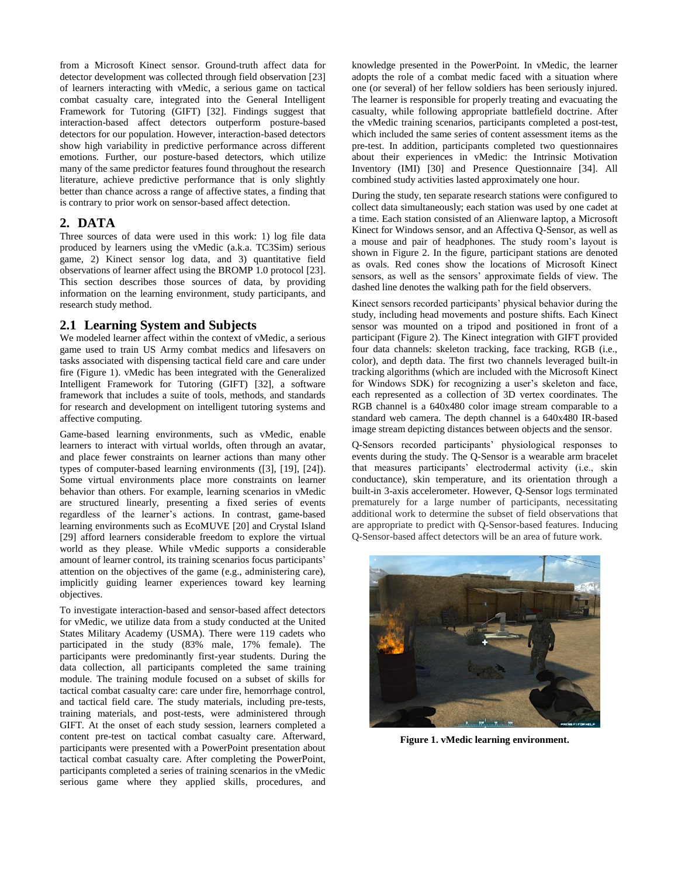from a Microsoft Kinect sensor. Ground-truth affect data for detector development was collected through field observation [23] of learners interacting with vMedic, a serious game on tactical combat casualty care, integrated into the General Intelligent Framework for Tutoring (GIFT) [32]. Findings suggest that interaction-based affect detectors outperform posture-based detectors for our population. However, interaction-based detectors show high variability in predictive performance across different emotions. Further, our posture-based detectors, which utilize many of the same predictor features found throughout the research literature, achieve predictive performance that is only slightly better than chance across a range of affective states, a finding that is contrary to prior work on sensor-based affect detection.

#### **2. DATA**

Three sources of data were used in this work: 1) log file data produced by learners using the vMedic (a.k.a. TC3Sim) serious game, 2) Kinect sensor log data, and 3) quantitative field observations of learner affect using the BROMP 1.0 protocol [23]. This section describes those sources of data, by providing information on the learning environment, study participants, and research study method.

#### **2.1 Learning System and Subjects**

We modeled learner affect within the context of vMedic, a serious game used to train US Army combat medics and lifesavers on tasks associated with dispensing tactical field care and care under fire (Figure 1). vMedic has been integrated with the Generalized Intelligent Framework for Tutoring (GIFT) [32], a software framework that includes a suite of tools, methods, and standards for research and development on intelligent tutoring systems and affective computing.

Game-based learning environments, such as vMedic, enable learners to interact with virtual worlds, often through an avatar, and place fewer constraints on learner actions than many other types of computer-based learning environments ([3], [19], [24]). Some virtual environments place more constraints on learner behavior than others. For example, learning scenarios in vMedic are structured linearly, presenting a fixed series of events regardless of the learner's actions. In contrast, game-based learning environments such as EcoMUVE [20] and Crystal Island [29] afford learners considerable freedom to explore the virtual world as they please. While vMedic supports a considerable amount of learner control, its training scenarios focus participants' attention on the objectives of the game (e.g., administering care), implicitly guiding learner experiences toward key learning objectives.

To investigate interaction-based and sensor-based affect detectors for vMedic, we utilize data from a study conducted at the United States Military Academy (USMA). There were 119 cadets who participated in the study (83% male, 17% female). The participants were predominantly first-year students. During the data collection, all participants completed the same training module. The training module focused on a subset of skills for tactical combat casualty care: care under fire, hemorrhage control, and tactical field care. The study materials, including pre-tests, training materials, and post-tests, were administered through GIFT. At the onset of each study session, learners completed a content pre-test on tactical combat casualty care. Afterward, participants were presented with a PowerPoint presentation about tactical combat casualty care. After completing the PowerPoint, participants completed a series of training scenarios in the vMedic serious game where they applied skills, procedures, and

knowledge presented in the PowerPoint. In vMedic, the learner adopts the role of a combat medic faced with a situation where one (or several) of her fellow soldiers has been seriously injured. The learner is responsible for properly treating and evacuating the casualty, while following appropriate battlefield doctrine. After the vMedic training scenarios, participants completed a post-test, which included the same series of content assessment items as the pre-test. In addition, participants completed two questionnaires about their experiences in vMedic: the Intrinsic Motivation Inventory (IMI) [30] and Presence Questionnaire [34]. All combined study activities lasted approximately one hour.

During the study, ten separate research stations were configured to collect data simultaneously; each station was used by one cadet at a time. Each station consisted of an Alienware laptop, a Microsoft Kinect for Windows sensor, and an Affectiva Q-Sensor, as well as a mouse and pair of headphones. The study room's layout is shown in Figure 2. In the figure, participant stations are denoted as ovals. Red cones show the locations of Microsoft Kinect sensors, as well as the sensors' approximate fields of view. The dashed line denotes the walking path for the field observers.

Kinect sensors recorded participants' physical behavior during the study, including head movements and posture shifts. Each Kinect sensor was mounted on a tripod and positioned in front of a participant (Figure 2). The Kinect integration with GIFT provided four data channels: skeleton tracking, face tracking, RGB (i.e., color), and depth data. The first two channels leveraged built-in tracking algorithms (which are included with the Microsoft Kinect for Windows SDK) for recognizing a user's skeleton and face, each represented as a collection of 3D vertex coordinates. The RGB channel is a 640x480 color image stream comparable to a standard web camera. The depth channel is a 640x480 IR-based image stream depicting distances between objects and the sensor.

Q-Sensors recorded participants' physiological responses to events during the study. The Q-Sensor is a wearable arm bracelet that measures participants' electrodermal activity (i.e., skin conductance), skin temperature, and its orientation through a built-in 3-axis accelerometer. However, Q-Sensor logs terminated prematurely for a large number of participants, necessitating additional work to determine the subset of field observations that are appropriate to predict with Q-Sensor-based features. Inducing Q-Sensor-based affect detectors will be an area of future work.



**Figure 1. vMedic learning environment.**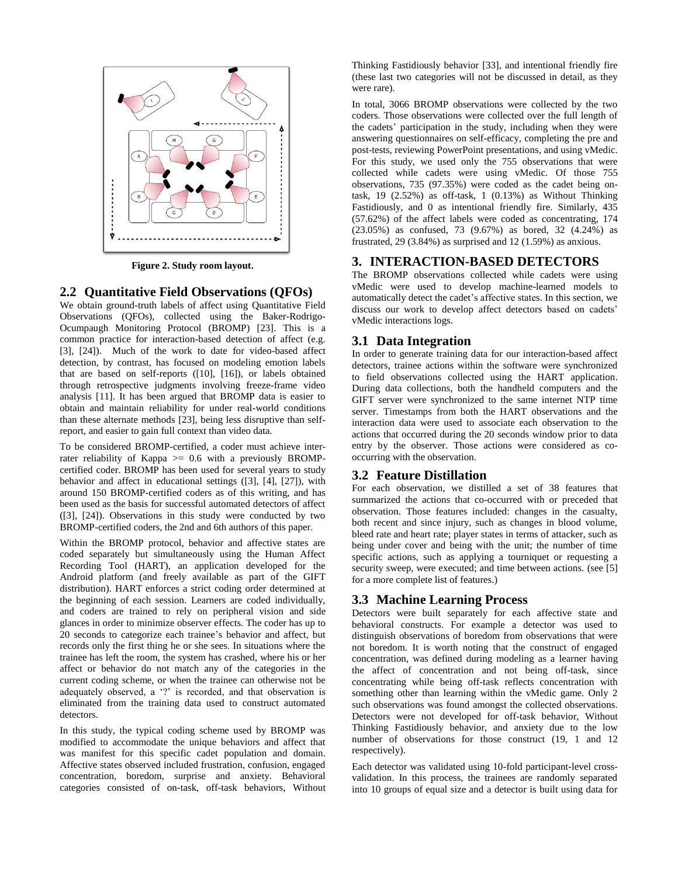

**Figure 2. Study room layout.**

#### **2.2 Quantitative Field Observations (QFOs)**

We obtain ground-truth labels of affect using Quantitative Field Observations (QFOs), collected using the Baker-Rodrigo-Ocumpaugh Monitoring Protocol (BROMP) [23]. This is a common practice for interaction-based detection of affect (e.g. [3], [24]). Much of the work to date for video-based affect detection, by contrast, has focused on modeling emotion labels that are based on self-reports ([10], [16]), or labels obtained through retrospective judgments involving freeze-frame video analysis [11]. It has been argued that BROMP data is easier to obtain and maintain reliability for under real-world conditions than these alternate methods [23], being less disruptive than selfreport, and easier to gain full context than video data.

To be considered BROMP-certified, a coder must achieve interrater reliability of Kappa  $\ge$  0.6 with a previously BROMPcertified coder. BROMP has been used for several years to study behavior and affect in educational settings ([3], [4], [27]), with around 150 BROMP-certified coders as of this writing, and has been used as the basis for successful automated detectors of affect ([3], [24]). Observations in this study were conducted by two BROMP-certified coders, the 2nd and 6th authors of this paper.

Within the BROMP protocol, behavior and affective states are coded separately but simultaneously using the Human Affect Recording Tool (HART), an application developed for the Android platform (and freely available as part of the GIFT distribution). HART enforces a strict coding order determined at the beginning of each session. Learners are coded individually, and coders are trained to rely on peripheral vision and side glances in order to minimize observer effects. The coder has up to 20 seconds to categorize each trainee's behavior and affect, but records only the first thing he or she sees. In situations where the trainee has left the room, the system has crashed, where his or her affect or behavior do not match any of the categories in the current coding scheme, or when the trainee can otherwise not be adequately observed, a '?' is recorded, and that observation is eliminated from the training data used to construct automated detectors.

In this study, the typical coding scheme used by BROMP was modified to accommodate the unique behaviors and affect that was manifest for this specific cadet population and domain. Affective states observed included frustration, confusion, engaged concentration, boredom, surprise and anxiety. Behavioral categories consisted of on-task, off-task behaviors, Without Thinking Fastidiously behavior [33], and intentional friendly fire (these last two categories will not be discussed in detail, as they were rare).

In total, 3066 BROMP observations were collected by the two coders. Those observations were collected over the full length of the cadets' participation in the study, including when they were answering questionnaires on self-efficacy, completing the pre and post-tests, reviewing PowerPoint presentations, and using vMedic. For this study, we used only the 755 observations that were collected while cadets were using vMedic. Of those 755 observations, 735 (97.35%) were coded as the cadet being ontask,  $19$   $(2.52\%)$  as off-task,  $1$   $(0.13\%)$  as Without Thinking Fastidiously, and 0 as intentional friendly fire. Similarly, 435 (57.62%) of the affect labels were coded as concentrating, 174 (23.05%) as confused, 73 (9.67%) as bored, 32 (4.24%) as frustrated, 29 (3.84%) as surprised and 12 (1.59%) as anxious.

#### **3. INTERACTION-BASED DETECTORS**

The BROMP observations collected while cadets were using vMedic were used to develop machine-learned models to automatically detect the cadet's affective states. In this section, we discuss our work to develop affect detectors based on cadets' vMedic interactions logs.

#### **3.1 Data Integration**

In order to generate training data for our interaction-based affect detectors, trainee actions within the software were synchronized to field observations collected using the HART application. During data collections, both the handheld computers and the GIFT server were synchronized to the same internet NTP time server. Timestamps from both the HART observations and the interaction data were used to associate each observation to the actions that occurred during the 20 seconds window prior to data entry by the observer. Those actions were considered as cooccurring with the observation.

#### **3.2 Feature Distillation**

For each observation, we distilled a set of 38 features that summarized the actions that co-occurred with or preceded that observation. Those features included: changes in the casualty, both recent and since injury, such as changes in blood volume, bleed rate and heart rate; player states in terms of attacker, such as being under cover and being with the unit; the number of time specific actions, such as applying a tourniquet or requesting a security sweep, were executed; and time between actions. (see [5] for a more complete list of features.)

#### **3.3 Machine Learning Process**

Detectors were built separately for each affective state and behavioral constructs. For example a detector was used to distinguish observations of boredom from observations that were not boredom. It is worth noting that the construct of engaged concentration, was defined during modeling as a learner having the affect of concentration and not being off-task, since concentrating while being off-task reflects concentration with something other than learning within the vMedic game. Only 2 such observations was found amongst the collected observations. Detectors were not developed for off-task behavior, Without Thinking Fastidiously behavior, and anxiety due to the low number of observations for those construct (19, 1 and 12 respectively).

Each detector was validated using 10-fold participant-level crossvalidation. In this process, the trainees are randomly separated into 10 groups of equal size and a detector is built using data for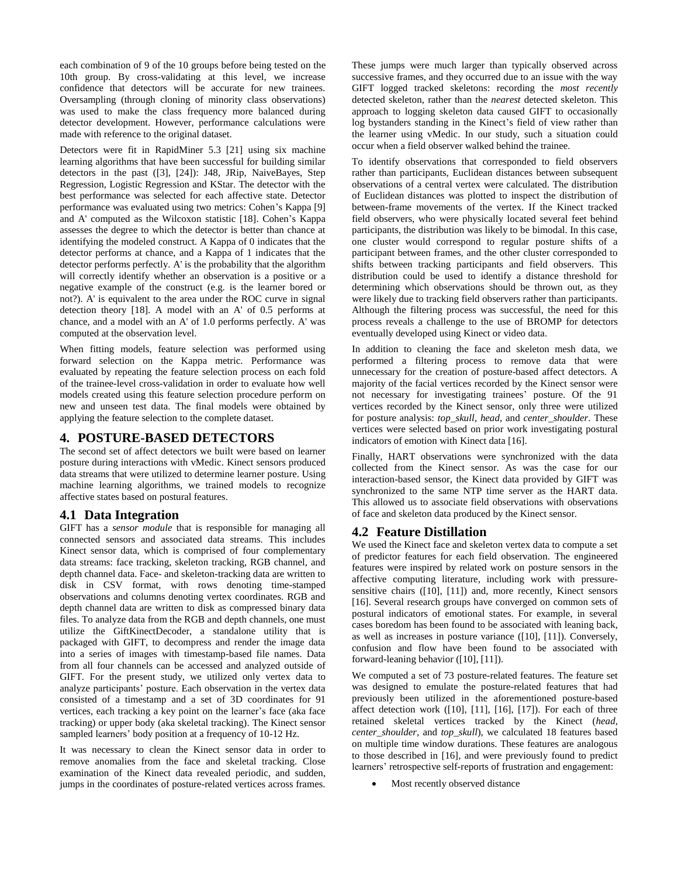each combination of 9 of the 10 groups before being tested on the 10th group. By cross-validating at this level, we increase confidence that detectors will be accurate for new trainees. Oversampling (through cloning of minority class observations) was used to make the class frequency more balanced during detector development. However, performance calculations were made with reference to the original dataset.

Detectors were fit in RapidMiner 5.3 [21] using six machine learning algorithms that have been successful for building similar detectors in the past ([3], [24]): J48, JRip, NaiveBayes, Step Regression, Logistic Regression and KStar. The detector with the best performance was selected for each affective state. Detector performance was evaluated using two metrics: Cohen's Kappa [9] and A' computed as the Wilcoxon statistic [18]. Cohen's Kappa assesses the degree to which the detector is better than chance at identifying the modeled construct. A Kappa of 0 indicates that the detector performs at chance, and a Kappa of 1 indicates that the detector performs perfectly. A' is the probability that the algorithm will correctly identify whether an observation is a positive or a negative example of the construct (e.g. is the learner bored or not?). A' is equivalent to the area under the ROC curve in signal detection theory [18]. A model with an A' of 0.5 performs at chance, and a model with an A' of 1.0 performs perfectly. A' was computed at the observation level.

When fitting models, feature selection was performed using forward selection on the Kappa metric. Performance was evaluated by repeating the feature selection process on each fold of the trainee-level cross-validation in order to evaluate how well models created using this feature selection procedure perform on new and unseen test data. The final models were obtained by applying the feature selection to the complete dataset.

#### **4. POSTURE-BASED DETECTORS**

The second set of affect detectors we built were based on learner posture during interactions with vMedic. Kinect sensors produced data streams that were utilized to determine learner posture. Using machine learning algorithms, we trained models to recognize affective states based on postural features.

#### **4.1 Data Integration**

GIFT has a *sensor module* that is responsible for managing all connected sensors and associated data streams. This includes Kinect sensor data, which is comprised of four complementary data streams: face tracking, skeleton tracking, RGB channel, and depth channel data. Face- and skeleton-tracking data are written to disk in CSV format, with rows denoting time-stamped observations and columns denoting vertex coordinates. RGB and depth channel data are written to disk as compressed binary data files. To analyze data from the RGB and depth channels, one must utilize the GiftKinectDecoder, a standalone utility that is packaged with GIFT, to decompress and render the image data into a series of images with timestamp-based file names. Data from all four channels can be accessed and analyzed outside of GIFT. For the present study, we utilized only vertex data to analyze participants' posture. Each observation in the vertex data consisted of a timestamp and a set of 3D coordinates for 91 vertices, each tracking a key point on the learner's face (aka face tracking) or upper body (aka skeletal tracking). The Kinect sensor sampled learners' body position at a frequency of 10-12 Hz.

It was necessary to clean the Kinect sensor data in order to remove anomalies from the face and skeletal tracking. Close examination of the Kinect data revealed periodic, and sudden, jumps in the coordinates of posture-related vertices across frames.

These jumps were much larger than typically observed across successive frames, and they occurred due to an issue with the way GIFT logged tracked skeletons: recording the *most recently* detected skeleton, rather than the *nearest* detected skeleton. This approach to logging skeleton data caused GIFT to occasionally log bystanders standing in the Kinect's field of view rather than the learner using vMedic. In our study, such a situation could occur when a field observer walked behind the trainee.

To identify observations that corresponded to field observers rather than participants, Euclidean distances between subsequent observations of a central vertex were calculated. The distribution of Euclidean distances was plotted to inspect the distribution of between-frame movements of the vertex. If the Kinect tracked field observers, who were physically located several feet behind participants, the distribution was likely to be bimodal. In this case, one cluster would correspond to regular posture shifts of a participant between frames, and the other cluster corresponded to shifts between tracking participants and field observers. This distribution could be used to identify a distance threshold for determining which observations should be thrown out, as they were likely due to tracking field observers rather than participants. Although the filtering process was successful, the need for this process reveals a challenge to the use of BROMP for detectors eventually developed using Kinect or video data.

In addition to cleaning the face and skeleton mesh data, we performed a filtering process to remove data that were unnecessary for the creation of posture-based affect detectors. A majority of the facial vertices recorded by the Kinect sensor were not necessary for investigating trainees' posture. Of the 91 vertices recorded by the Kinect sensor, only three were utilized for posture analysis: *top\_skull*, *head*, and *center\_shoulder*. These vertices were selected based on prior work investigating postural indicators of emotion with Kinect data [16].

Finally, HART observations were synchronized with the data collected from the Kinect sensor. As was the case for our interaction-based sensor, the Kinect data provided by GIFT was synchronized to the same NTP time server as the HART data. This allowed us to associate field observations with observations of face and skeleton data produced by the Kinect sensor.

## **4.2 Feature Distillation**

We used the Kinect face and skeleton vertex data to compute a set of predictor features for each field observation. The engineered features were inspired by related work on posture sensors in the affective computing literature, including work with pressuresensitive chairs ([10], [11]) and, more recently, Kinect sensors [16]. Several research groups have converged on common sets of postural indicators of emotional states. For example, in several cases boredom has been found to be associated with leaning back, as well as increases in posture variance ([10], [11]). Conversely, confusion and flow have been found to be associated with forward-leaning behavior ([10], [11]).

We computed a set of 73 posture-related features. The feature set was designed to emulate the posture-related features that had previously been utilized in the aforementioned posture-based affect detection work ([10], [11], [16], [17]). For each of three retained skeletal vertices tracked by the Kinect (*head*, *center\_shoulder*, and *top\_skull*), we calculated 18 features based on multiple time window durations. These features are analogous to those described in [16], and were previously found to predict learners' retrospective self-reports of frustration and engagement:

• Most recently observed distance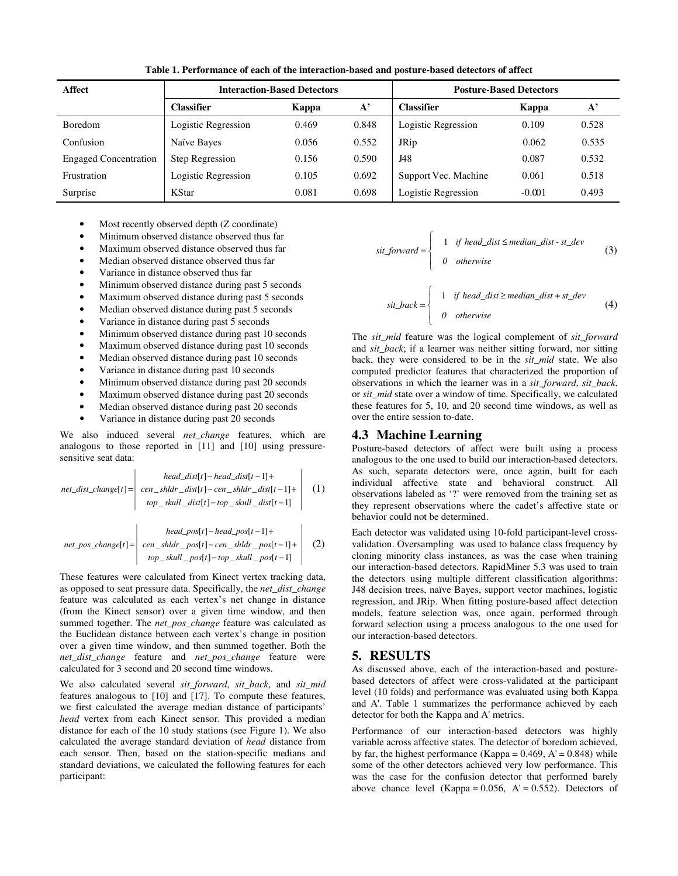| <b>Affect</b>                | <b>Interaction-Based Detectors</b> |       |           | <b>Posture-Based Detectors</b> |          |                    |
|------------------------------|------------------------------------|-------|-----------|--------------------------------|----------|--------------------|
|                              | Classifier                         | Kappa | ${\bf A}$ | Classifier                     | Kappa    | ${\bf A}^{\prime}$ |
| <b>Boredom</b>               | Logistic Regression                | 0.469 | 0.848     | Logistic Regression            | 0.109    | 0.528              |
| Confusion                    | Naïve Bayes                        | 0.056 | 0.552     | <b>JRip</b>                    | 0.062    | 0.535              |
| <b>Engaged Concentration</b> | <b>Step Regression</b>             | 0.156 | 0.590     | J48                            | 0.087    | 0.532              |
| Frustration                  | Logistic Regression                | 0.105 | 0.692     | Support Vec. Machine           | 0.061    | 0.518              |
| Surprise                     | KStar                              | 0.081 | 0.698     | Logistic Regression            | $-0.001$ | 0.493              |

**Table 1. Performance of each of the interaction-based and posture-based detectors of affect** 

- Most recently observed depth (Z coordinate)
- Minimum observed distance observed thus far
- Maximum observed distance observed thus far
- Median observed distance observed thus far
- Variance in distance observed thus far
- Minimum observed distance during past 5 seconds
- Maximum observed distance during past 5 seconds
- Median observed distance during past 5 seconds
- Variance in distance during past 5 seconds
- Minimum observed distance during past 10 seconds
- Maximum observed distance during past 10 seconds
- Median observed distance during past 10 seconds
- Variance in distance during past 10 seconds
- Minimum observed distance during past 20 seconds
- Maximum observed distance during past 20 seconds
- Median observed distance during past 20 seconds
- Variance in distance during past 20 seconds

We also induced several *net\_change* features, which are analogous to those reported in [11] and [10] using pressuresensitive seat data:

$$
net\_dist\_change[t] = \begin{vmatrix} head\_dist[t] - head\_dist[t-1] + \\ cen\_shldr\_dist[t] - cen\_shldr\_dist[t-1] + \\ top\_skull\_dist[t] - top\_skull\_dist[t-1] \end{vmatrix} (1)
$$

$$
net\_pos\_change[t] = \begin{vmatrix} head\_pos[t] - head\_pos[t-1] + \\ cen\_shldr\_pos[t] - cen\_shldr\_pos[t-1] + \\ top\_skull\_pos[t] - top\_skull\_pos[t-1] \end{vmatrix} (2)
$$

These features were calculated from Kinect vertex tracking data, as opposed to seat pressure data. Specifically, the *net\_dist\_change* feature was calculated as each vertex's net change in distance (from the Kinect sensor) over a given time window, and then summed together. The *net\_pos\_change* feature was calculated as the Euclidean distance between each vertex's change in position over a given time window, and then summed together. Both the *net\_dist\_change* feature and *net\_pos\_change* feature were calculated for 3 second and 20 second time windows.

We also calculated several *sit\_forward*, *sit\_back*, and *sit\_mid* features analogous to [10] and [17]. To compute these features, we first calculated the average median distance of participants' *head* vertex from each Kinect sensor. This provided a median distance for each of the 10 study stations (see Figure 1). We also calculated the average standard deviation of *head* distance from each sensor. Then, based on the station-specific medians and standard deviations, we calculated the following features for each participant:

$$
sit\_forward = \begin{cases} 1 & \text{if head\_dist} \le \text{median\_dist} - st\_dev \\ 0 & \text{otherwise} \end{cases} \tag{3}
$$

$$
sit\_back = \begin{cases} 1 & \text{if head\_dist} \ge \text{median\_dist} + st\_dev \\ 0 & \text{otherwise} \end{cases} \tag{4}
$$

The *sit\_mid* feature was the logical complement of *sit\_forward* and *sit\_back*; if a learner was neither sitting forward, nor sitting back, they were considered to be in the *sit\_mid* state. We also computed predictor features that characterized the proportion of observations in which the learner was in a *sit\_forward*, *sit\_back*, or *sit\_mid* state over a window of time. Specifically, we calculated these features for 5, 10, and 20 second time windows, as well as over the entire session to-date.

#### **4.3 Machine Learning**

Posture-based detectors of affect were built using a process analogous to the one used to build our interaction-based detectors. As such, separate detectors were, once again, built for each individual affective state and behavioral construct. All observations labeled as '?' were removed from the training set as they represent observations where the cadet's affective state or behavior could not be determined.

Each detector was validated using 10-fold participant-level crossvalidation. Oversampling was used to balance class frequency by cloning minority class instances, as was the case when training our interaction-based detectors. RapidMiner 5.3 was used to train the detectors using multiple different classification algorithms: J48 decision trees, naïve Bayes, support vector machines, logistic regression, and JRip. When fitting posture-based affect detection models, feature selection was, once again, performed through forward selection using a process analogous to the one used for our interaction-based detectors.

#### **5. RESULTS**

As discussed above, each of the interaction-based and posturebased detectors of affect were cross-validated at the participant level (10 folds) and performance was evaluated using both Kappa and A'. Table 1 summarizes the performance achieved by each detector for both the Kappa and A' metrics.

Performance of our interaction-based detectors was highly variable across affective states. The detector of boredom achieved, by far, the highest performance (Kappa =  $0.469$ , A' =  $0.848$ ) while some of the other detectors achieved very low performance. This was the case for the confusion detector that performed barely above chance level (Kappa =  $0.056$ , A' =  $0.552$ ). Detectors of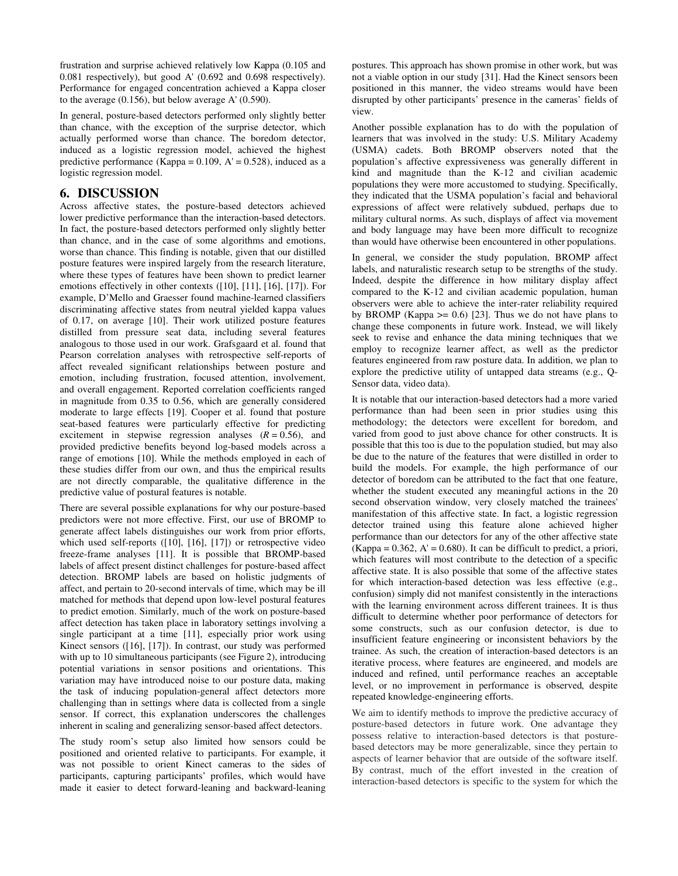frustration and surprise achieved relatively low Kappa (0.105 and 0.081 respectively), but good A' (0.692 and 0.698 respectively). Performance for engaged concentration achieved a Kappa closer to the average (0.156), but below average A' (0.590).

In general, posture-based detectors performed only slightly better than chance, with the exception of the surprise detector, which actually performed worse than chance. The boredom detector, induced as a logistic regression model, achieved the highest predictive performance (Kappa =  $0.109$ , A' =  $0.528$ ), induced as a logistic regression model.

## **6. DISCUSSION**

Across affective states, the posture-based detectors achieved lower predictive performance than the interaction-based detectors. In fact, the posture-based detectors performed only slightly better than chance, and in the case of some algorithms and emotions, worse than chance. This finding is notable, given that our distilled posture features were inspired largely from the research literature, where these types of features have been shown to predict learner emotions effectively in other contexts ([10], [11], [16], [17]). For example, D'Mello and Graesser found machine-learned classifiers discriminating affective states from neutral yielded kappa values of 0.17, on average [10]. Their work utilized posture features distilled from pressure seat data, including several features analogous to those used in our work. Grafsgaard et al. found that Pearson correlation analyses with retrospective self-reports of affect revealed significant relationships between posture and emotion, including frustration, focused attention, involvement, and overall engagement. Reported correlation coefficients ranged in magnitude from 0.35 to 0.56, which are generally considered moderate to large effects [19]. Cooper et al. found that posture seat-based features were particularly effective for predicting excitement in stepwise regression analyses  $(R = 0.56)$ , and provided predictive benefits beyond log-based models across a range of emotions [10]. While the methods employed in each of these studies differ from our own, and thus the empirical results are not directly comparable, the qualitative difference in the predictive value of postural features is notable.

There are several possible explanations for why our posture-based predictors were not more effective. First, our use of BROMP to generate affect labels distinguishes our work from prior efforts, which used self-reports ([10], [16], [17]) or retrospective video freeze-frame analyses [11]. It is possible that BROMP-based labels of affect present distinct challenges for posture-based affect detection. BROMP labels are based on holistic judgments of affect, and pertain to 20-second intervals of time, which may be ill matched for methods that depend upon low-level postural features to predict emotion. Similarly, much of the work on posture-based affect detection has taken place in laboratory settings involving a single participant at a time [11], especially prior work using Kinect sensors ([16], [17]). In contrast, our study was performed with up to 10 simultaneous participants (see Figure 2), introducing potential variations in sensor positions and orientations. This variation may have introduced noise to our posture data, making the task of inducing population-general affect detectors more challenging than in settings where data is collected from a single sensor. If correct, this explanation underscores the challenges inherent in scaling and generalizing sensor-based affect detectors.

The study room's setup also limited how sensors could be positioned and oriented relative to participants. For example, it was not possible to orient Kinect cameras to the sides of participants, capturing participants' profiles, which would have made it easier to detect forward-leaning and backward-leaning postures. This approach has shown promise in other work, but was not a viable option in our study [31]. Had the Kinect sensors been positioned in this manner, the video streams would have been disrupted by other participants' presence in the cameras' fields of view.

Another possible explanation has to do with the population of learners that was involved in the study: U.S. Military Academy (USMA) cadets. Both BROMP observers noted that the population's affective expressiveness was generally different in kind and magnitude than the K-12 and civilian academic populations they were more accustomed to studying. Specifically, they indicated that the USMA population's facial and behavioral expressions of affect were relatively subdued, perhaps due to military cultural norms. As such, displays of affect via movement and body language may have been more difficult to recognize than would have otherwise been encountered in other populations.

In general, we consider the study population, BROMP affect labels, and naturalistic research setup to be strengths of the study. Indeed, despite the difference in how military display affect compared to the K-12 and civilian academic population, human observers were able to achieve the inter-rater reliability required by BROMP (Kappa  $> = 0.6$ ) [23]. Thus we do not have plans to change these components in future work. Instead, we will likely seek to revise and enhance the data mining techniques that we employ to recognize learner affect, as well as the predictor features engineered from raw posture data. In addition, we plan to explore the predictive utility of untapped data streams (e.g., Q-Sensor data, video data).

It is notable that our interaction-based detectors had a more varied performance than had been seen in prior studies using this methodology; the detectors were excellent for boredom, and varied from good to just above chance for other constructs. It is possible that this too is due to the population studied, but may also be due to the nature of the features that were distilled in order to build the models. For example, the high performance of our detector of boredom can be attributed to the fact that one feature, whether the student executed any meaningful actions in the 20 second observation window, very closely matched the trainees' manifestation of this affective state. In fact, a logistic regression detector trained using this feature alone achieved higher performance than our detectors for any of the other affective state  $(Kappa = 0.362, A' = 0.680)$ . It can be difficult to predict, a priori, which features will most contribute to the detection of a specific affective state. It is also possible that some of the affective states for which interaction-based detection was less effective (e.g., confusion) simply did not manifest consistently in the interactions with the learning environment across different trainees. It is thus difficult to determine whether poor performance of detectors for some constructs, such as our confusion detector, is due to insufficient feature engineering or inconsistent behaviors by the trainee. As such, the creation of interaction-based detectors is an iterative process, where features are engineered, and models are induced and refined, until performance reaches an acceptable level, or no improvement in performance is observed, despite repeated knowledge-engineering efforts.

We aim to identify methods to improve the predictive accuracy of posture-based detectors in future work. One advantage they possess relative to interaction-based detectors is that posturebased detectors may be more generalizable, since they pertain to aspects of learner behavior that are outside of the software itself. By contrast, much of the effort invested in the creation of interaction-based detectors is specific to the system for which the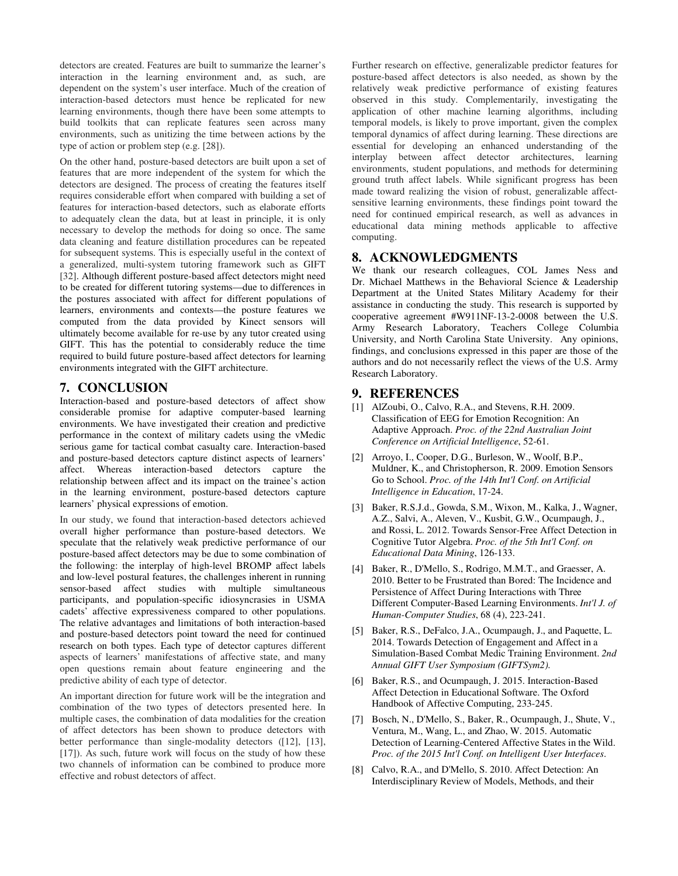detectors are created. Features are built to summarize the learner's interaction in the learning environment and, as such, are dependent on the system's user interface. Much of the creation of interaction-based detectors must hence be replicated for new learning environments, though there have been some attempts to build toolkits that can replicate features seen across many environments, such as unitizing the time between actions by the type of action or problem step (e.g. [28]).

On the other hand, posture-based detectors are built upon a set of features that are more independent of the system for which the detectors are designed. The process of creating the features itself requires considerable effort when compared with building a set of features for interaction-based detectors, such as elaborate efforts to adequately clean the data, but at least in principle, it is only necessary to develop the methods for doing so once. The same data cleaning and feature distillation procedures can be repeated for subsequent systems. This is especially useful in the context of a generalized, multi-system tutoring framework such as GIFT [32]. Although different posture-based affect detectors might need to be created for different tutoring systems—due to differences in the postures associated with affect for different populations of learners, environments and contexts—the posture features we computed from the data provided by Kinect sensors will ultimately become available for re-use by any tutor created using GIFT. This has the potential to considerably reduce the time required to build future posture-based affect detectors for learning environments integrated with the GIFT architecture.

#### **7. CONCLUSION**

Interaction-based and posture-based detectors of affect show considerable promise for adaptive computer-based learning environments. We have investigated their creation and predictive performance in the context of military cadets using the vMedic serious game for tactical combat casualty care. Interaction-based and posture-based detectors capture distinct aspects of learners' affect. Whereas interaction-based detectors capture the relationship between affect and its impact on the trainee's action in the learning environment, posture-based detectors capture learners' physical expressions of emotion.

In our study, we found that interaction-based detectors achieved overall higher performance than posture-based detectors. We speculate that the relatively weak predictive performance of our posture-based affect detectors may be due to some combination of the following: the interplay of high-level BROMP affect labels and low-level postural features, the challenges inherent in running sensor-based affect studies with multiple simultaneous participants, and population-specific idiosyncrasies in USMA cadets' affective expressiveness compared to other populations. The relative advantages and limitations of both interaction-based and posture-based detectors point toward the need for continued research on both types. Each type of detector captures different aspects of learners' manifestations of affective state, and many open questions remain about feature engineering and the predictive ability of each type of detector.

An important direction for future work will be the integration and combination of the two types of detectors presented here. In multiple cases, the combination of data modalities for the creation of affect detectors has been shown to produce detectors with better performance than single-modality detectors ([12], [13], [17]). As such, future work will focus on the study of how these two channels of information can be combined to produce more effective and robust detectors of affect.

Further research on effective, generalizable predictor features for posture-based affect detectors is also needed, as shown by the relatively weak predictive performance of existing features observed in this study. Complementarily, investigating the application of other machine learning algorithms, including temporal models, is likely to prove important, given the complex temporal dynamics of affect during learning. These directions are essential for developing an enhanced understanding of the interplay between affect detector architectures, learning environments, student populations, and methods for determining ground truth affect labels. While significant progress has been made toward realizing the vision of robust, generalizable affectsensitive learning environments, these findings point toward the need for continued empirical research, as well as advances in educational data mining methods applicable to affective computing.

## **8. ACKNOWLEDGMENTS**

We thank our research colleagues, COL James Ness and Dr. Michael Matthews in the Behavioral Science & Leadership Department at the United States Military Academy for their assistance in conducting the study. This research is supported by cooperative agreement #W911NF-13-2-0008 between the U.S. Army Research Laboratory, Teachers College Columbia University, and North Carolina State University. Any opinions, findings, and conclusions expressed in this paper are those of the authors and do not necessarily reflect the views of the U.S. Army Research Laboratory.

## **9. REFERENCES**

- [1] AlZoubi, O., Calvo, R.A., and Stevens, R.H. 2009. Classification of EEG for Emotion Recognition: An Adaptive Approach. *Proc. of the 22nd Australian Joint Conference on Artificial Intelligence*, 52-61.
- [2] Arroyo, I., Cooper, D.G., Burleson, W., Woolf, B.P., Muldner, K., and Christopherson, R. 2009. Emotion Sensors Go to School. *Proc. of the 14th Int'l Conf. on Artificial Intelligence in Education*, 17-24.
- [3] Baker, R.S.J.d., Gowda, S.M., Wixon, M., Kalka, J., Wagner, A.Z., Salvi, A., Aleven, V., Kusbit, G.W., Ocumpaugh, J., and Rossi, L. 2012. Towards Sensor-Free Affect Detection in Cognitive Tutor Algebra. *Proc. of the 5th Int'l Conf. on Educational Data Mining*, 126-133.
- [4] Baker, R., D'Mello, S., Rodrigo, M.M.T., and Graesser, A. 2010. Better to be Frustrated than Bored: The Incidence and Persistence of Affect During Interactions with Three Different Computer-Based Learning Environments. *Int'l J. of Human-Computer Studies*, 68 (4), 223-241.
- [5] Baker, R.S., DeFalco, J.A., Ocumpaugh, J., and Paquette, L. 2014. Towards Detection of Engagement and Affect in a Simulation-Based Combat Medic Training Environment. *2nd Annual GIFT User Symposium (GIFTSym2)*.
- [6] Baker, R.S., and Ocumpaugh, J. 2015. Interaction-Based Affect Detection in Educational Software. The Oxford Handbook of Affective Computing, 233-245.
- [7] Bosch, N., D'Mello, S., Baker, R., Ocumpaugh, J., Shute, V., Ventura, M., Wang, L., and Zhao, W. 2015. Automatic Detection of Learning-Centered Affective States in the Wild. *Proc. of the 2015 Int'l Conf. on Intelligent User Interfaces*.
- [8] Calvo, R.A., and D'Mello, S. 2010. Affect Detection: An Interdisciplinary Review of Models, Methods, and their